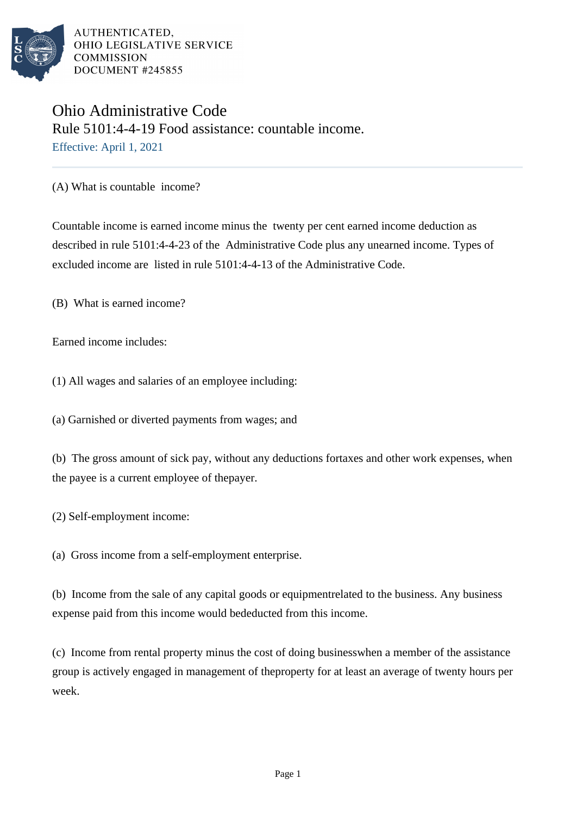

## Ohio Administrative Code Rule 5101:4-4-19 Food assistance: countable income. Effective: April 1, 2021

(A) What is countable income?

Countable income is earned income minus the twenty per cent earned income deduction as described in rule 5101:4-4-23 of the Administrative Code plus any unearned income. Types of excluded income are listed in rule 5101:4-4-13 of the Administrative Code.

(B) What is earned income?

Earned income includes:

(1) All wages and salaries of an employee including:

(a) Garnished or diverted payments from wages; and

(b) The gross amount of sick pay, without any deductions for taxes and other work expenses, when the payee is a current employee of the payer.

(2) Self-employment income:

(a) Gross income from a self-employment enterprise.

(b) Income from the sale of any capital goods or equipment related to the business. Any business expense paid from this income would be deducted from this income.

(c) Income from rental property minus the cost of doing business when a member of the assistance group is actively engaged in management of the property for at least an average of twenty hours per week.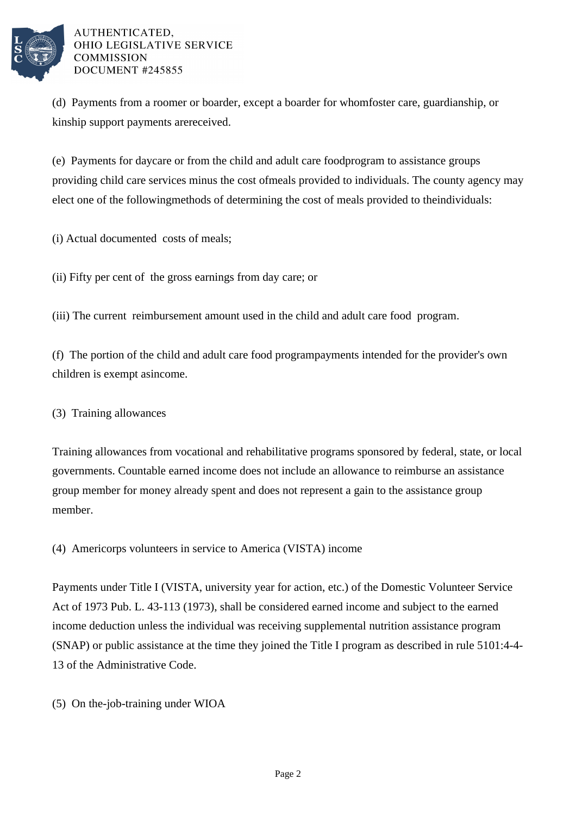

(d) Payments from a roomer or boarder, except a boarder for whom foster care, guardianship, or kinship support payments are received.

(e) Payments for daycare or from the child and adult care food program to assistance groups providing child care services minus the cost of meals provided to individuals. The county agency may elect one of the following methods of determining the cost of meals provided to the individuals:

(i) Actual documented costs of meals;

(ii) Fifty per cent of the gross earnings from day care; or

(iii) The current reimbursement amount used in the child and adult care food program.

(f) The portion of the child and adult care food program payments intended for the provider's own children is exempt as income.

(3) Training allowances

Training allowances from vocational and rehabilitative programs sponsored by federal, state, or local governments. Countable earned income does not include an allowance to reimburse an assistance group member for money already spent and does not represent a gain to the assistance group member.

(4) Americorps volunteers in service to America (VISTA) income

Payments under Title I (VISTA, university year for action, etc.) of the Domestic Volunteer Service Act of 1973 Pub. L. 43-113 (1973), shall be considered earned income and subject to the earned income deduction unless the individual was receiving supplemental nutrition assistance program (SNAP) or public assistance at the time they joined the Title I program as described in rule 5101:4-4- 13 of the Administrative Code.

(5) On the-job-training under WIOA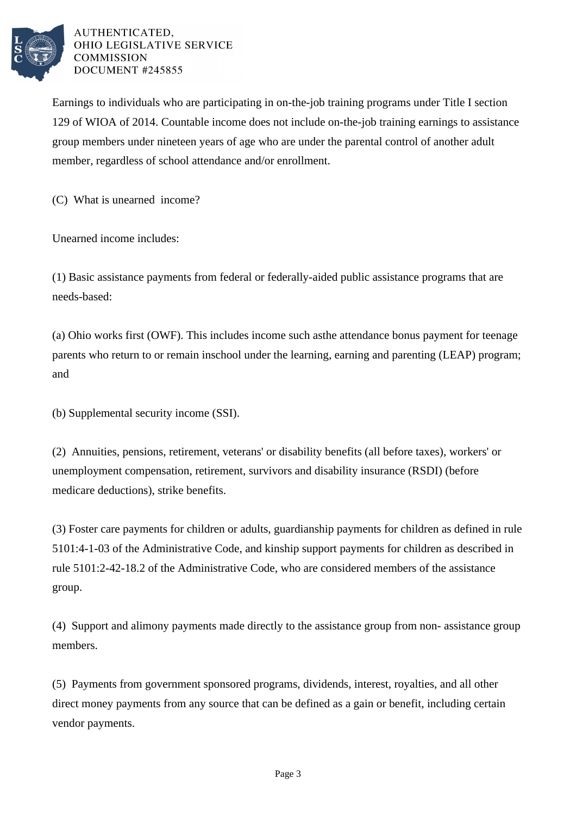

Earnings to individuals who are participating in on-the-job training programs under Title I section 129 of WIOA of 2014. Countable income does not include on-the-job training earnings to assistance group members under nineteen years of age who are under the parental control of another adult member, regardless of school attendance and/or enrollment.

(C) What is unearned income?

Unearned income includes:

(1) Basic assistance payments from federal or federally-aided public assistance programs that are needs-based:

(a) Ohio works first (OWF). This includes income such as the attendance bonus payment for teenage parents who return to or remain in school under the learning, earning and parenting (LEAP) program; and

(b) Supplemental security income (SSI).

(2) Annuities, pensions, retirement, veterans' or disability benefits (all before taxes), workers' or unemployment compensation, retirement, survivors and disability insurance (RSDI) (before medicare deductions), strike benefits.

(3) Foster care payments for children or adults, guardianship payments for children as defined in rule 5101:4-1-03 of the Administrative Code, and kinship support payments for children as described in rule 5101:2-42-18.2 of the Administrative Code, who are considered members of the assistance group.

(4) Support and alimony payments made directly to the assistance group from non- assistance group members.

(5) Payments from government sponsored programs, dividends, interest, royalties, and all other direct money payments from any source that can be defined as a gain or benefit, including certain vendor payments.